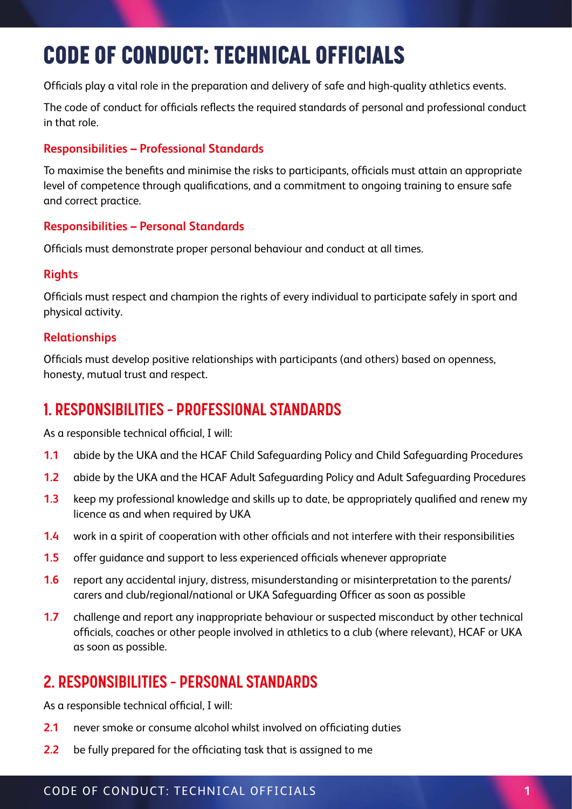# 6. CODE OF CONDUCT: TECHNICAL OFFICIALS CODE OF CONDUCT: TECHNICAL OFFICIALS

Officials play a vital role in the preparation and delivery of safe and high-quality athletics events.

The code of conduct for officials reflects the required standards of personal and professional conduct in that role.

#### **Responsibilities – Professional Standards**

To maximise the benefits and minimise the risks to participants, officials must attain an appropriate level of competence through qualifications, and a commitment to ongoing training to ensure safe and correct practice.

#### **Responsibilities – Personal Standards**

Officials must demonstrate proper personal behaviour and conduct at all times.

### **Rights**

Officials must respect and champion the rights of every individual to participate safely in sport and physical activity.

#### **Relationships**

Officials must develop positive relationships with participants (and others) based on openness, honesty, mutual trust and respect.

# **1. RESPONSIBILITIES – PROFESSIONAL STANDARDS**

As a responsible technical official, I will:

- **1.1** abide by the UKA and the HCAF Child Safeguarding Policy and Child Safeguarding Procedures
- **1.2** abide by the UKA and the HCAF Adult Safeguarding Policy and Adult Safeguarding Procedures
- **1.3** keep my professional knowledge and skills up to date, be appropriately qualified and renew my licence as and when required by UKA
- **1.4** work in a spirit of cooperation with other officials and not interfere with their responsibilities
- **1.5** offer guidance and support to less experienced officials whenever appropriate
- **1.6** report any accidental injury, distress, misunderstanding or misinterpretation to the parents/ carers and club/regional/national or UKA Safeguarding Officer as soon as possible
- **1.7** challenge and report any inappropriate behaviour or suspected misconduct by other technical officials, coaches or other people involved in athletics to a club (where relevant), HCAF or UKA as soon as possible.

# **2. RESPONSIBILITIES – PERSONAL STANDARDS**

As a responsible technical official, I will:

- **2.1** never smoke or consume alcohol whilst involved on officiating duties
- **2.2** be fully prepared for the officiating task that is assigned to me

### CODE OF CONDUCT: TECHNICAL OFFICIALS **1**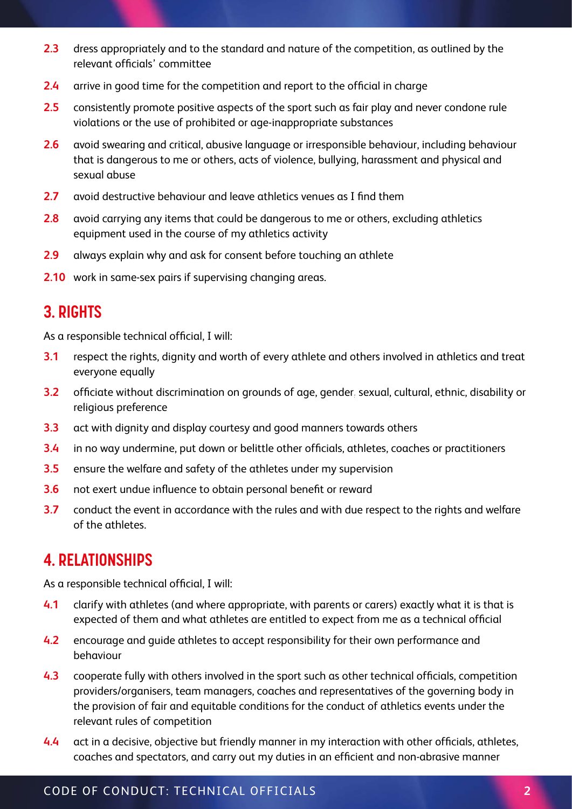- **2.3** dress appropriately and to the standard and nature of the competition, as outlined by the relevant officials' committee
- **2.4** arrive in good time for the competition and report to the official in charge
- **2.5** consistently promote positive aspects of the sport such as fair play and never condone rule violations or the use of prohibited or age-inappropriate substances
- **2.6** avoid swearing and critical, abusive language or irresponsible behaviour, including behaviour that is dangerous to me or others, acts of violence, bullying, harassment and physical and sexual abuse
- **2.7** avoid destructive behaviour and leave athletics venues as I find them
- **2.8** avoid carrying any items that could be dangerous to me or others, excluding athletics equipment used in the course of my athletics activity
- **2.9** always explain why and ask for consent before touching an athlete
- **2.10** work in same-sex pairs if supervising changing areas.

### **3. RIGHTS**

As a responsible technical official, I will:

- **3.1** respect the rights, dignity and worth of every athlete and others involved in athletics and treat everyone equally Conduction of Conduction of Conduction of Conduction of Conduction of Conduction of Conduction of Conduction o
- **3.2** officiate without discrimination on grounds of age, gender, sexual, cultural, ethnic, disability or religious preference  $T = T$ **1**
- **3.3** act with dignity and display courtesy and good manners towards others
- **3.4** in no way undermine, put down or belittle other officials, athletes, coaches or practitioners
- **3.5** ensure the welfare and safety of the athletes under my supervision
- **3.6** not exert undue influence to obtain personal benefit or reward
- **3.7** conduct the event in accordance with the rules and with due respect to the rights and welfare of the athletes.

### **4. RELATIONSHIPS**

As a responsible technical official, I will:

- **4.1** clarify with athletes (and where appropriate, with parents or carers) exactly what it is that is expected of them and what athletes are entitled to expect from me as a technical official
- **4.2** encourage and guide athletes to accept responsibility for their own performance and behaviour
- **4.3** cooperate fully with others involved in the sport such as other technical officials, competition providers/organisers, team managers, coaches and representatives of the governing body in the provision of fair and equitable conditions for the conduct of athletics events under the relevant rules of competition
- **4.4** act in a decisive, objective but friendly manner in my interaction with other officials, athletes, coaches and spectators, and carry out my duties in an efficient and non-abrasive manner

### CODE OF CONDUCT: TECHNICAL OFFICIALS **2**